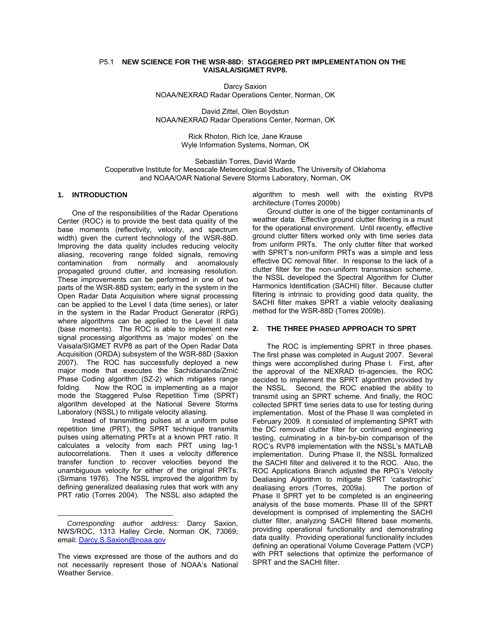#### P5.1 **NEW SCIENCE FOR THE WSR-88D: STAGGERED PRT IMPLEMENTATION ON THE VAISALA/SIGMET RVP8.**

Darcy Saxion NOAA/NEXRAD Radar Operations Center, Norman, OK

David Zittel, Olen Boydstun NOAA/NEXRAD Radar Operations Center, Norman, OK

> Rick Rhoton, Rich Ice, Jane Krause Wyle Information Systems, Norman, OK

Sebastián Torres, David Warde Cooperative Institute for Mesoscale Meteorological Studies, The University of Oklahoma and NOAA/OAR National Severe Storms Laboratory, Norman, OK

## **1. INTRODUCTION**

One of the responsibilities of the Radar Operations Center (ROC) is to provide the best data quality of the base moments (reflectivity, velocity, and spectrum width) given the current technology of the WSR-88D. Improving the data quality includes reducing velocity aliasing, recovering range folded signals, removing contamination from normally and anomalously propagated ground clutter, and increasing resolution. These improvements can be performed in one of two parts of the WSR-88D system; early in the system in the Open Radar Data Acquisition where signal processing can be applied to the Level I data (time series), or later in the system in the Radar Product Generator (RPG) where algorithms can be applied to the Level II data (base moments). The ROC is able to implement new signal processing algorithms as 'major modes' on the Vaisala/SIGMET RVP8 as part of the Open Radar Data Acquisition (ORDA) subsystem of the WSR-88D (Saxion 2007). The ROC has successfully deployed a new major mode that executes the Sachidananda/Zrnić Phase Coding algorithm (SZ-2) which mitigates range folding. Now the ROC is implementing as a major mode the Staggered Pulse Repetition Time (SPRT) algorithm developed at the National Severe Storms Laboratory (NSSL) to mitigate velocity aliasing.

Instead of transmitting pulses at a uniform pulse repetition time (PRT), the SPRT technique transmits pulses using alternating PRTs at a known PRT ratio. It calculates a velocity from each PRT using lag-1 autocorrelations. Then it uses a velocity difference transfer function to recover velocities beyond the unambiguous velocity for either of the original PRTs. (Sirmans 1976). The NSSL improved the algorithm by defining generalized dealiasing rules that work with any PRT ratio (Torres 2004). The NSSL also adapted the

-

algorithm to mesh well with the existing RVP8 architecture (Torres 2009b)

Ground clutter is one of the bigger contaminants of weather data. Effective ground clutter filtering is a must for the operational environment. Until recently, effective ground clutter filters worked only with time series data from uniform PRTs. The only clutter filter that worked with SPRT's non-uniform PRTs was a simple and less effective DC removal filter. In response to the lack of a clutter filter for the non-uniform transmission scheme, the NSSL developed the Spectral Algorithm for Clutter Harmonics Identification (SACHI) filter. Because clutter filtering is intrinsic to providing good data quality, the SACHI filter makes SPRT a viable velocity dealiasing method for the WSR-88D (Torres 2009b).

### **2. THE THREE PHASED APPROACH TO SPRT**

The ROC is implementing SPRT in three phases. The first phase was completed in August 2007. Several things were accomplished during Phase I. First, after the approval of the NEXRAD tri-agencies, the ROC decided to implement the SPRT algorithm provided by the NSSL. Second, the ROC enabled the ability to transmit using an SPRT scheme. And finally, the ROC collected SPRT time series data to use for testing during implementation. Most of the Phase II was completed in February 2009. It consisted of implementing SPRT with the DC removal clutter filter for continued engineering testing, culminating in a bin-by-bin comparison of the ROC's RVP8 implementation with the NSSL's MATLAB implementation. During Phase II, the NSSL formalized the SACHI filter and delivered it to the ROC. Also, the ROC Applications Branch adjusted the RPG's Velocity Dealiasing Algorithm to mitigate SPRT 'catastrophic' dealiasing errors (Torres, 2009a). The portion of Phase II SPRT yet to be completed is an engineering analysis of the base moments. Phase III of the SPRT development is comprised of implementing the SACHI clutter filter, analyzing SACHI filtered base moments, providing operational functionality and demonstrating data quality. Providing operational functionality includes defining an operational Volume Coverage Pattern (VCP) with PRT selections that optimize the performance of SPRT and the SACHI filter.

*Corresponding author address:* Darcy Saxion, NWS/ROC, 1313 Halley Circle, Norman OK, 73069; email: Darcy.S.Saxion@noaa.gov

The views expressed are those of the authors and do not necessarily represent those of NOAA's National Weather Service.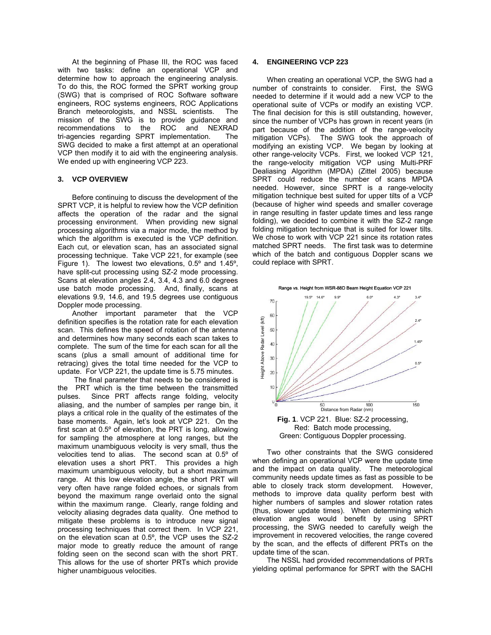At the beginning of Phase III, the ROC was faced with two tasks: define an operational VCP and determine how to approach the engineering analysis. To do this, the ROC formed the SPRT working group (SWG) that is comprised of ROC Software software engineers, ROC systems engineers, ROC Applications Branch meteorologists, and NSSL scientists. The mission of the SWG is to provide guidance and recommendations to the ROC and NEXRAD tri-agencies regarding SPRT implementation. The SWG decided to make a first attempt at an operational VCP then modify it to aid with the engineering analysis. We ended up with engineering VCP 223.

### **3. VCP OVERVIEW**

Before continuing to discuss the development of the SPRT VCP, it is helpful to review how the VCP definition affects the operation of the radar and the signal processing environment. When providing new signal processing algorithms via a major mode, the method by which the algorithm is executed is the VCP definition. Each cut, or elevation scan, has an associated signal processing technique. Take VCP 221, for example (see Figure 1). The lowest two elevations, 0.5º and 1.45º, have split-cut processing using SZ-2 mode processing. Scans at elevation angles 2.4, 3.4, 4.3 and 6.0 degrees use batch mode processing. And, finally, scans at elevations 9.9, 14.6, and 19.5 degrees use contiguous Doppler mode processing.

Another important parameter that the VCP definition specifies is the rotation rate for each elevation scan. This defines the speed of rotation of the antenna and determines how many seconds each scan takes to complete. The sum of the time for each scan for all the scans (plus a small amount of additional time for retracing) gives the total time needed for the VCP to update. For VCP 221, the update time is 5.75 minutes.

 The final parameter that needs to be considered is the PRT which is the time between the transmitted pulses. Since PRT affects range folding, velocity aliasing, and the number of samples per range bin, it plays a critical role in the quality of the estimates of the base moments. Again, let's look at VCP 221. On the first scan at 0.5º of elevation, the PRT is long, allowing for sampling the atmosphere at long ranges, but the maximum unambiguous velocity is very small, thus the velocities tend to alias. The second scan at 0.5º of elevation uses a short PRT. This provides a high maximum unambiguous velocity, but a short maximum range. At this low elevation angle, the short PRT will very often have range folded echoes, or signals from beyond the maximum range overlaid onto the signal within the maximum range. Clearly, range folding and velocity aliasing degrades data quality. One method to mitigate these problems is to introduce new signal processing techniques that correct them. In VCP 221, on the elevation scan at 0.5º, the VCP uses the SZ-2 major mode to greatly reduce the amount of range folding seen on the second scan with the short PRT. This allows for the use of shorter PRTs which provide higher unambiguous velocities.

# **4. ENGINEERING VCP 223**

When creating an operational VCP, the SWG had a number of constraints to consider. First, the SWG needed to determine if it would add a new VCP to the operational suite of VCPs or modify an existing VCP. The final decision for this is still outstanding, however, since the number of VCPs has grown in recent years (in part because of the addition of the range-velocity mitigation VCPs). The SWG took the approach of modifying an existing VCP. We began by looking at other range-velocity VCPs. First, we looked VCP 121, the range-velocity mitigation VCP using Multi-PRF Dealiasing Algorithm (MPDA) (Zittel 2005) because SPRT could reduce the number of scans MPDA needed. However, since SPRT is a range-velocity mitigation technique best suited for upper tilts of a VCP (because of higher wind speeds and smaller coverage in range resulting in faster update times and less range folding), we decided to combine it with the SZ-2 range folding mitigation technique that is suited for lower tilts. We chose to work with VCP 221 since its rotation rates matched SPRT needs. The first task was to determine which of the batch and contiguous Doppler scans we could replace with SPRT.



Two other constraints that the SWG considered when defining an operational VCP were the update time and the impact on data quality. The meteorological community needs update times as fast as possible to be able to closely track storm development. However, methods to improve data quality perform best with higher numbers of samples and slower rotation rates (thus, slower update times). When determining which elevation angles would benefit by using SPRT processing, the SWG needed to carefully weigh the improvement in recovered velocities, the range covered by the scan, and the effects of different PRTs on the update time of the scan.

The NSSL had provided recommendations of PRTs yielding optimal performance for SPRT with the SACHI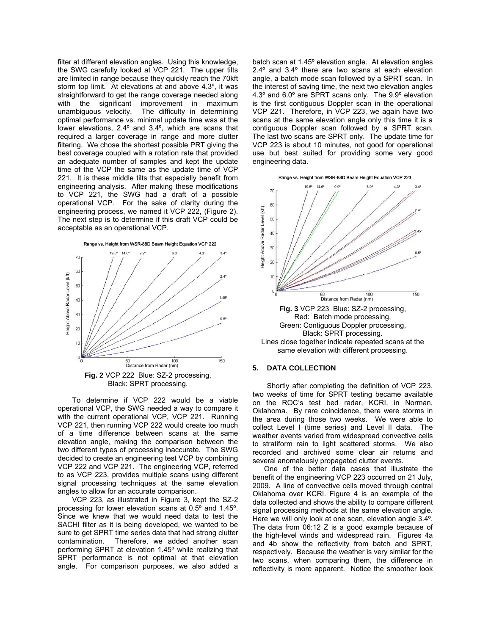filter at different elevation angles. Using this knowledge, the SWG carefully looked at VCP 221. The upper tilts are limited in range because they quickly reach the 70kft storm top limit. At elevations at and above 4.3º, it was straightforward to get the range coverage needed along with the significant improvement in maximum unambiguous velocity. The difficulty in determining optimal performance vs. minimal update time was at the lower elevations, 2.4º and 3.4º, which are scans that required a larger coverage in range and more clutter filtering. We chose the shortest possible PRT giving the best coverage coupled with a rotation rate that provided an adequate number of samples and kept the update time of the VCP the same as the update time of VCP 221. It is these middle tilts that especially benefit from engineering analysis. After making these modifications to VCP 221, the SWG had a draft of a possible operational VCP. For the sake of clarity during the engineering process, we named it VCP 222, (Figure 2). The next step is to determine if this draft VCP could be acceptable as an operational VCP.



To determine if VCP 222 would be a viable operational VCP, the SWG needed a way to compare it with the current operational VCP, VCP 221. Running VCP 221, then running VCP 222 would create too much of a time difference between scans at the same elevation angle, making the comparison between the two different types of processing inaccurate. The SWG decided to create an engineering test VCP by combining VCP 222 and VCP 221. The engineering VCP, referred to as VCP 223, provides multiple scans using different signal processing techniques at the same elevation angles to allow for an accurate comparison.

VCP 223, as illustrated in Figure 3, kept the SZ-2 processing for lower elevation scans at 0.5º and 1.45º. Since we knew that we would need data to test the SACHI filter as it is being developed, we wanted to be sure to get SPRT time series data that had strong clutter contamination. Therefore, we added another scan performing SPRT at elevation 1.45º while realizing that SPRT performance is not optimal at that elevation angle. For comparison purposes, we also added a batch scan at 1.45º elevation angle. At elevation angles 2.4º and 3.4º there are two scans at each elevation angle, a batch mode scan followed by a SPRT scan. In the interest of saving time, the next two elevation angles 4.3º and 6.0º are SPRT scans only. The 9.9º elevation is the first contiguous Doppler scan in the operational VCP 221. Therefore, in VCP 223, we again have two scans at the same elevation angle only this time it is a contiguous Doppler scan followed by a SPRT scan. The last two scans are SPRT only. The update time for VCP 223 is about 10 minutes, not good for operational use but best suited for providing some very good engineering data.





Black: SPRT processing. Lines close together indicate repeated scans at the same elevation with different processing.

#### **5. DATA COLLECTION**

Shortly after completing the definition of VCP 223, two weeks of time for SPRT testing became available on the ROC's test bed radar, KCRI, in Norman, Oklahoma. By rare coincidence, there were storms in the area during those two weeks. We were able to collect Level I (time series) and Level II data. The weather events varied from widespread convective cells to stratiform rain to light scattered storms. We also recorded and archived some clear air returns and several anomalously propagated clutter events.

One of the better data cases that illustrate the benefit of the engineering VCP 223 occurred on 21 July, 2009. A line of convective cells moved through central Oklahoma over KCRI. Figure 4 is an example of the data collected and shows the ability to compare different signal processing methods at the same elevation angle. Here we will only look at one scan, elevation angle 3.4º. The data from 06:12 Z is a good example because of the high-level winds and widespread rain. Figures 4a and 4b show the reflectivity from batch and SPRT, respectively. Because the weather is very similar for the two scans, when comparing them, the difference in reflectivity is more apparent. Notice the smoother look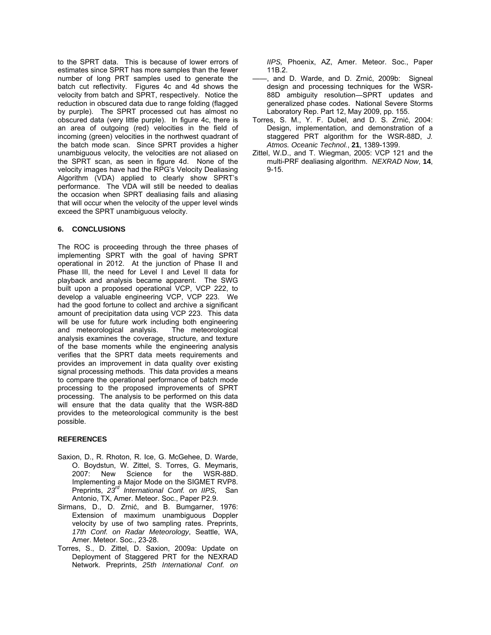to the SPRT data. This is because of lower errors of estimates since SPRT has more samples than the fewer number of long PRT samples used to generate the batch cut reflectivity. Figures 4c and 4d shows the velocity from batch and SPRT, respectively. Notice the reduction in obscured data due to range folding (flagged by purple). The SPRT processed cut has almost no obscured data (very little purple). In figure 4c, there is an area of outgoing (red) velocities in the field of incoming (green) velocities in the northwest quadrant of the batch mode scan. Since SPRT provides a higher unambiguous velocity, the velocities are not aliased on the SPRT scan, as seen in figure 4d. None of the velocity images have had the RPG's Velocity Dealiasing Algorithm (VDA) applied to clearly show SPRT's performance. The VDA will still be needed to dealias the occasion when SPRT dealiasing fails and aliasing that will occur when the velocity of the upper level winds exceed the SPRT unambiguous velocity.

# **6. CONCLUSIONS**

The ROC is proceeding through the three phases of implementing SPRT with the goal of having SPRT operational in 2012. At the junction of Phase II and Phase III, the need for Level I and Level II data for playback and analysis became apparent. The SWG built upon a proposed operational VCP, VCP 222, to develop a valuable engineering VCP, VCP 223. We had the good fortune to collect and archive a significant amount of precipitation data using VCP 223. This data will be use for future work including both engineering<br>and meteorological analysis. The meteorological and meteorological analysis. analysis examines the coverage, structure, and texture of the base moments while the engineering analysis verifies that the SPRT data meets requirements and provides an improvement in data quality over existing signal processing methods. This data provides a means to compare the operational performance of batch mode processing to the proposed improvements of SPRT processing. The analysis to be performed on this data will ensure that the data quality that the WSR-88D provides to the meteorological community is the best possible.

## **REFERENCES**

- Saxion, D., R. Rhoton, R. Ice, G. McGehee, D. Warde, O. Boydstun, W. Zittel, S. Torres, G. Meymaris, 2007: New Science for the WSR-88D. Implementing a Major Mode on the SIGMET RVP8. Preprints, *23rd International Conf. on IIPS,* San Antonio, TX, Amer. Meteor. Soc., Paper P2.9.
- Sirmans, D., D. Zrnić, and B. Bumgarner, 1976: Extension of maximum unambiguous Doppler velocity by use of two sampling rates. Preprints, *17th Conf. on Radar Meteorology*, Seattle, WA, Amer. Meteor. Soc., 23-28.
- Torres, S., D. Zittel, D. Saxion, 2009a: Update on Deployment of Staggered PRT for the NEXRAD Network. Preprints, *25th International Conf. on*

*IIPS,* Phoenix, AZ, Amer. Meteor. Soc., Paper 11B.2.

- -, and D. Warde, and D. Zrnić, 2009b: Signeal design and processing techniques for the WSR-88D ambiguity resolution―SPRT updates and generalized phase codes. National Severe Storms Laboratory Rep. Part 12, May 2009, pp. 155.
- Torres, S. M., Y. F. Dubel, and D. S. Zrnić, 2004: Design, implementation, and demonstration of a staggered PRT algorithm for the WSR-88D, *J. Atmos. Oceanic Technol.*, **21**, 1389-1399.
- Zittel, W.D., and T. Wiegman, 2005: VCP 121 and the multi-PRF dealiasing algorithm. *NEXRAD Now*, **14**, 9-15.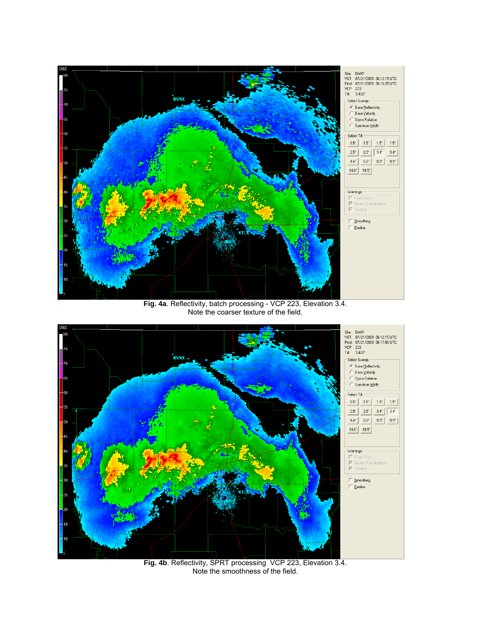

**Fig. 4a**. Reflectivity, batch processing - VCP 223, Elevation 3.4. Note the coarser texture of the field.



**Fig. 4b**. Reflectivity, SPRT processing VCP 223, Elevation 3.4. Note the smoothness of the field.